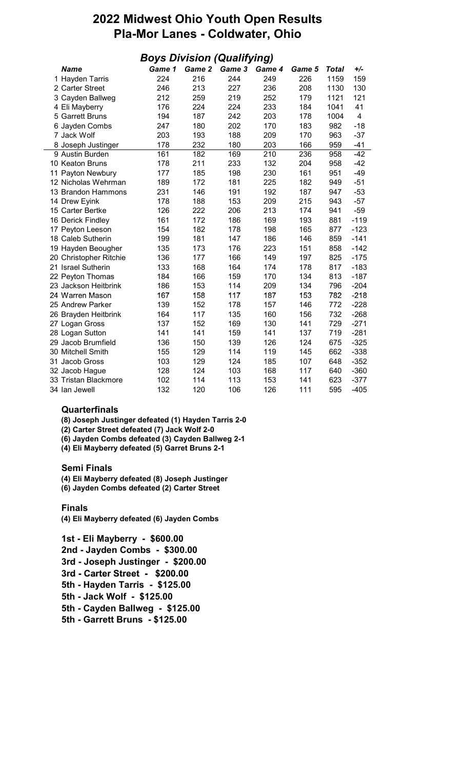# 2022 Midwest Ohio Youth Open Results Pla-Mor Lanes - Coldwater, Ohio

| <b>Boys Division (Qualifying)</b> |        |        |        |        |        |              |                         |  |  |  |  |
|-----------------------------------|--------|--------|--------|--------|--------|--------------|-------------------------|--|--|--|--|
| <b>Name</b>                       | Game 1 | Game 2 | Game 3 | Game 4 | Game 5 | <b>Total</b> | +/-                     |  |  |  |  |
| 1 Hayden Tarris                   | 224    | 216    | 244    | 249    | 226    | 1159         | 159                     |  |  |  |  |
| 2 Carter Street                   | 246    | 213    | 227    | 236    | 208    | 1130         | 130                     |  |  |  |  |
| 3 Cayden Ballweg                  | 212    | 259    | 219    | 252    | 179    | 1121         | 121                     |  |  |  |  |
| 4 Eli Mayberry                    | 176    | 224    | 224    | 233    | 184    | 1041         | 41                      |  |  |  |  |
| 5 Garrett Bruns                   | 194    | 187    | 242    | 203    | 178    | 1004         | $\overline{\mathbf{4}}$ |  |  |  |  |
| 6 Jayden Combs                    | 247    | 180    | 202    | 170    | 183    | 982          | $-18$                   |  |  |  |  |
| 7 Jack Wolf                       | 203    | 193    | 188    | 209    | 170    | 963          | $-37$                   |  |  |  |  |
| 8 Joseph Justinger                | 178    | 232    | 180    | 203    | 166    | 959          | $-41$                   |  |  |  |  |
| 9 Austin Burden                   | 161    | 182    | 169    | 210    | 236    | 958          | $-42$                   |  |  |  |  |
| 10 Keaton Bruns                   | 178    | 211    | 233    | 132    | 204    | 958          | $-42$                   |  |  |  |  |
| 11 Payton Newbury                 | 177    | 185    | 198    | 230    | 161    | 951          | $-49$                   |  |  |  |  |
| 12 Nicholas Wehrman               | 189    | 172    | 181    | 225    | 182    | 949          | $-51$                   |  |  |  |  |
| 13 Brandon Hammons                | 231    | 146    | 191    | 192    | 187    | 947          | $-53$                   |  |  |  |  |
| 14 Drew Eyink                     | 178    | 188    | 153    | 209    | 215    | 943          | $-57$                   |  |  |  |  |
| 15 Carter Bertke                  | 126    | 222    | 206    | 213    | 174    | 941          | $-59$                   |  |  |  |  |
| 16 Derick Findley                 | 161    | 172    | 186    | 169    | 193    | 881          | $-119$                  |  |  |  |  |
| 17 Peyton Leeson                  | 154    | 182    | 178    | 198    | 165    | 877          | $-123$                  |  |  |  |  |
| 18 Caleb Sutherin                 | 199    | 181    | 147    | 186    | 146    | 859          | $-141$                  |  |  |  |  |
| 19 Hayden Beougher                | 135    | 173    | 176    | 223    | 151    | 858          | $-142$                  |  |  |  |  |
| 20 Christopher Ritchie            | 136    | 177    | 166    | 149    | 197    | 825          | $-175$                  |  |  |  |  |
| 21 Israel Sutherin                | 133    | 168    | 164    | 174    | 178    | 817          | $-183$                  |  |  |  |  |
| 22 Peyton Thomas                  | 184    | 166    | 159    | 170    | 134    | 813          | $-187$                  |  |  |  |  |
| 23 Jackson Heitbrink              | 186    | 153    | 114    | 209    | 134    | 796          | $-204$                  |  |  |  |  |
| 24 Warren Mason                   | 167    | 158    | 117    | 187    | 153    | 782          | $-218$                  |  |  |  |  |
| 25 Andrew Parker                  | 139    | 152    | 178    | 157    | 146    | 772          | $-228$                  |  |  |  |  |
| 26 Brayden Heitbrink              | 164    | 117    | 135    | 160    | 156    | 732          | $-268$                  |  |  |  |  |
| 27 Logan Gross                    | 137    | 152    | 169    | 130    | 141    | 729          | $-271$                  |  |  |  |  |
| 28 Logan Sutton                   | 141    | 141    | 159    | 141    | 137    | 719          | $-281$                  |  |  |  |  |
| 29 Jacob Brumfield                | 136    | 150    | 139    | 126    | 124    | 675          | $-325$                  |  |  |  |  |
| 30 Mitchell Smith                 | 155    | 129    | 114    | 119    | 145    | 662          | $-338$                  |  |  |  |  |
| 31 Jacob Gross                    | 103    | 129    | 124    | 185    | 107    | 648          | $-352$                  |  |  |  |  |
| 32 Jacob Hague                    | 128    | 124    | 103    | 168    | 117    | 640          | $-360$                  |  |  |  |  |
| 33 Tristan Blackmore              | 102    | 114    | 113    | 153    | 141    | 623          | $-377$                  |  |  |  |  |
| 34 Ian Jewell                     | 132    | 120    | 106    | 126    | 111    | 595          | $-405$                  |  |  |  |  |

## **Quarterfinals**

(8) Joseph Justinger defeated (1) Hayden Tarris 2-0

(2) Carter Street defeated (7) Jack Wolf 2-0

(6) Jayden Combs defeated (3) Cayden Ballweg 2-1

(4) Eli Mayberry defeated (5) Garret Bruns 2-1

## Semi Finals

(4) Eli Mayberry defeated (8) Joseph Justinger

(6) Jayden Combs defeated (2) Carter Street

## Finals

(4) Eli Mayberry defeated (6) Jayden Combs

1st - Eli Mayberry - \$600.00 2nd - Jayden Combs - \$300.00 3rd - Joseph Justinger - \$200.00 3rd - Carter Street - \$200.00 5th - Hayden Tarris - \$125.00 5th - Jack Wolf - \$125.00 5th - Cayden Ballweg - \$125.00 5th - Garrett Bruns - \$125.00